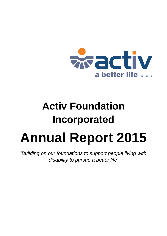

# **Activ Foundation Incorporated Annual Report 2015**

*'Building on our foundations to support people living with disability to pursue a better life'*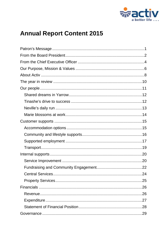

# **Annual Report Content 2015**

| 24 |
|----|
|    |
|    |
|    |
|    |
|    |
|    |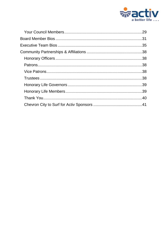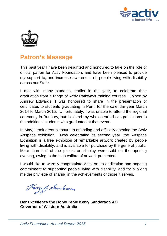



### <span id="page-3-0"></span>**Patron's Message**

This past year I have been delighted and honoured to take on the role of official patron for Activ Foundation, and have been pleased to provide my support to, and increase awareness of, people living with disability across our State.

I met with many students, earlier in the year, to celebrate their graduation from a range of Activ Pathways training courses. Joined by Andrew Edwards, I was honoured to share in the presentation of certificates to students graduating in Perth for the calendar year March 2014 to March 2015. Unfortunately, I was unable to attend the regional ceremony in Bunbury, but I extend my wholehearted congratulations to the additional students who graduated at that event.

In May, I took great pleasure in attending and officially opening the Activ Artspace exhibition. Now celebrating its second year, the Artspace Exhibition is a free exhibition of remarkable artwork created by people living with disability, and is available for purchase by the general public. More than half of the pieces on display were sold on the opening evening, owing to the high calibre of artwork presented.

I would like to warmly congratulate Activ on its dedication and ongoing commitment to supporting people living with disability, and for allowing me the privilege of sharing in the achievements of those it serves.

awy & Sancteron

**Her Excellency the Honourable Kerry Sanderson AO Governor of Western Australia**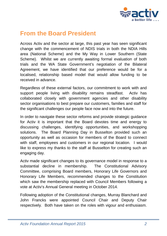

### <span id="page-4-0"></span>**From the Board President**

Across Activ and the sector at large, this past year has seen significant change with the commencement of NDIS trials in both the NDIA Hills area (National Scheme) and the My Way in Lower Southern (State Scheme). Whilst we are currently awaiting formal evaluation of both trials and the WA State Government's negotiation of the Bilateral Agreement, we have identified that our preference would be for a localised, relationship based model that would allow funding to be received in advance.

Regardless of these external factors, our commitment to work with and support people living with disability remains steadfast. Activ has collaborated closely with government agencies and other disability sector organisations to best prepare our customers, families and staff for the significant challenges our people face now and into the future.

In order to navigate these sector reforms and provide strategic guidance for Activ it is important that the Board devotes time and energy to discussing challenges, identifying opportunities, and workshopping solutions. The Board Planning Day in Busselton provided such an opportunity as well as occasion for members of the Board to connect with staff, employees and customers in our regional location. I would like to express my thanks to the staff at Busselton for creating such an engaging day.

Activ made significant changes to its governance model in response to a substantial decline in membership. The Constitutional Advisory Committee, comprising Board members, Honorary Life Governors and Honorary Life Members, recommended changes to the Constitution which saw the membership replaced with Council Members following a vote at Activ's Annual General meeting in October 2014.

Following adoption of the Constitutional changes, Murray Blanchard and John Francks were appointed Council Chair and Deputy Chair respectively. Both have taken on the roles with vigour and enthusiasm.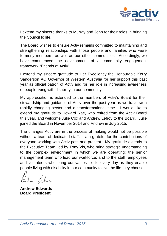

I extend my sincere thanks to Murray and John for their roles in bringing the Council to life.

The Board wishes to ensure Activ remains committed to maintaining and strengthening relationships with those people and families who were formerly members, as well as our other communities. Accordingly, we have commenced the development of a community engagement framework "Friends of Activ".

I extend my sincere gratitude to Her Excellency the Honourable Kerry Sanderson AO Governor of Western Australia for her support this past year as official patron of Activ and for her role in increasing awareness of people living with disability in our community.

My appreciation is extended to the members of Activ's Board for their stewardship and guidance of Activ over the past year as we traverse a rapidly changing sector and a transformational time. I would like to extend my gratitude to Howard Rae, who retired from the Activ Board this year, and welcome Julie Cox and Andrew Lefroy to the Board. Julie joined the Board in November 2014 and Andrew in July 2015.

The changes Activ are in the process of making would not be possible without a team of dedicated staff. I am grateful for the contributions of everyone working with Activ past and present. My gratitude extends to the Executive Team, led by Tony Vis, who bring strategic understanding to the complex environment in which we are operating; the senior management team who lead our workforce; and to the staff, employees and volunteers who bring our values to life every day as they enable people living with disability in our community to live the life they choose.

**Andrew Edwards Board President**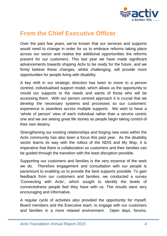

### <span id="page-6-0"></span>**From the Chief Executive Officer**

Over the past few years, we've known that our services and supports would need to change in order for us to embrace reforms taking place across our sector and realise the additional opportunities the reforms present for our customers. This last year we have made significant advancements towards shaping Activ to be ready for the future, and we firmly believe these changes, whilst challenging, will provide more opportunities for people living with disability.

A key shift in our strategic direction has been to move to a person centred, individualised support model, which allows us the opportunity to mould our supports to the needs and wants of those who will be accessing them. With our person centred approach it is crucial that we develop the necessary systems and processes so our customers' experience is seamless across multiple supports. We wish to have a 'whole of person' view of each individual rather than a service centric one and we are seeing great life stories as people begin taking control of their own destiny.

Strengthening our existing relationships and forging new ones within the Activ community has also been a focus this past year. As the disability sector learns its way with the rollout of the NDIS and My Way, it is imperative that there is collaboration so customers and their families can be guided through the transition with the least disruption possible.

Supporting our customers and families is the very essence of the work we do. Therefore engagement and consultation with our people is paramount to enabling us to provide the best supports possible. To gain feedback from our customers and families, we conducted a survey 'Connecting with Activ', which sought to identify the levels of connectedness people feel they have with us. The results were very encouraging and informative.

A regular cycle of activities also provided the opportunity for myself, Board members and the Executive team, to engage with our customers and families in a more relaxed environment. Open days, forums,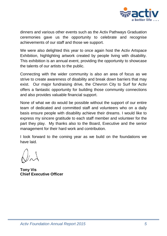

dinners and various other events such as the Activ Pathways Graduation ceremonies gave us the opportunity to celebrate and recognise achievements of our staff and those we support.

We were also delighted this year to once again host the Activ Artspace Exhibition, highlighting artwork created by people living with disability. This exhibition is an annual event, providing the opportunity to showcase the talents of our artists to the public.

Connecting with the wider community is also an area of focus as we strive to create awareness of disability and break down barriers that may exist. Our major fundraising drive, the Chevron City to Surf for Activ offers a fantastic opportunity for building those community connections and also provides valuable financial support.

None of what we do would be possible without the support of our entire team of dedicated and committed staff and volunteers who on a daily basis ensure people with disability achieve their dreams. I would like to express my sincere gratitude to each staff member and volunteer for the part they play. My thanks also to the Board, Executive and the senior management for their hard work and contribution.

I look forward to the coming year as we build on the foundations we have laid.

**Tony Vis Chief Executive Officer**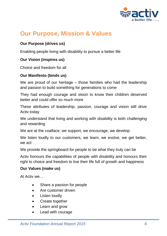

## <span id="page-8-0"></span>**Our Purpose, Mission & Values**

### **Our Purpose (drives us)**

Enabling people living with disability to pursue a better life

### **Our Vision (inspires us)**

Choice and freedom for all

### **Our Manifesto (binds us)**

We are proud of our heritage – those families who had the leadership and passion to build something for generations to come

They had enough courage and vision to know their children deserved better and could offer so much more

These attributes of leadership, passion, courage and vision still drive Activ today

We understand that living and working with disability is both challenging and rewarding

We are at the coalface: we support, we encourage, we develop

We listen loudly to our customers, we learn, we evolve, we get better, we act

We provide the springboard for people to be what they truly can be

Activ honours the capabilities of people with disability and honours their right to choice and freedom to live their life full of growth and happiness

### **Our Values (make us)**

At Activ we…

- Share a passion for people
- Are customer driven
- **Listen loudly**
- Create together
- Learn and grow
- Lead with courage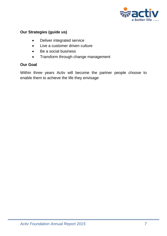

### **Our Strategies (guide us)**

- Deliver integrated service
- Live a customer driven culture
- Be a social business
- Transform through change management

### **Our Goal**

Within three years Activ will become the partner people choose to enable them to achieve the life they envisage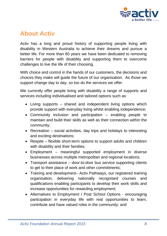

### <span id="page-10-0"></span>**About Activ**

Activ has a long and proud history of supporting people living with disability in Western Australia to achieve their dreams and pursue a better life. For more than 60 years we have been dedicated to removing barriers for people with disability and supporting them to overcome challenges to live the life of their choosing.

With choice and control in the hands of our customers, the decisions and choices they make will guide the future of our organisation. As those we support change day to day, so too do the services we offer.

We currently offer people living with disability a range of supports and services including individualised and tailored options such as:

- Living supports shared and independent living options which provide support with everyday living whilst enabling independence;
- Community inclusion and participation enabling people to maintain and build their skills as well as their connection within the community;
- Recreation social activities, day trips and holidays to interesting and exciting destinations;
- Respite flexible short-term options to support adults and children with disability and their families;
- Employment meaningful supported employment in diverse businesses across multiple metropolitan and regional locations;
- Transport assistance door-to-door bus service supporting clients to get to their place of work and other commitments;
- Training and development– Activ Pathways, our registered training organisation, delivering nationally recognised courses and qualifications enabling participants to develop their work skills and increase opportunities for rewarding employment;
- Alternatives to Employment / Post School Options encouraging participation in everyday life with real opportunities to learn, contribute and have valued roles in the community; and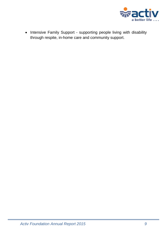

• Intensive Family Support - supporting people living with disability through respite, in-home care and community support.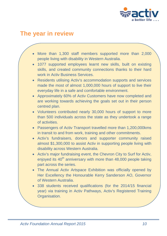

### <span id="page-12-0"></span>**The year in review**

- More than 1,300 staff members supported more than 2,000 people living with disability in Western Australia.
- 1077 supported employees learnt new skills, built on existing skills, and created community connections thanks to their hard work in Activ Business Services.
- Residents utilising Activ's accommodation supports and services made the most of almost 1,000,000 hours of support to live their everyday life in a safe and comfortable environment.
- Approximately 60% of Activ Customers have now completed and are working towards achieving the goals set out in their person centred plan.
- Volunteers contributed nearly 30,000 hours of support to more than 500 individuals across the state as they undertook a range of activities.
- Passengers of Activ Transport travelled more than 1,200,000kms in transit to and from work, training and other commitments.
- Activ's fundraisers, donors and supporter community raised almost \$1,300,000 to assist Activ in supporting people living with disability across Western Australia.
- Activ's major fundraising event, the Chevron City to Surf for Activ, enjoyed its  $40<sup>th</sup>$  anniversary with more than  $48,000$  people taking part across the series.
- The Annual Activ Artspace Exhibition was officially opened by Her Excellency the Honourable Kerry Sanderson AO, Governor of Western Australia.
- 338 students received qualifications (for the 2014/15 financial year) via training in Activ Pathways, Activ's Registered Training Organisation.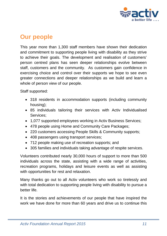

### <span id="page-13-0"></span>**Our people**

This year more than 1,300 staff members have shown their dedication and commitment to supporting people living with disability as they strive to achieve their goals. The development and realisation of customers' person centred plans has seen deeper relationships evolve between staff, customers and the community. As customers gain confidence in exercising choice and control over their supports we hope to see even greater connections and deeper relationships as we build and learn a whole of person view of our people.

Staff supported:

- 318 residents in accommodation supports (including community housing);
- 85 individuals tailoring their services with Activ Individualised Services;
- 1,077 supported employees working in Activ Business Services;
- 478 people using Home and Community Care Packages;
- 220 customers accessing People Skills & Community supports;
- 408 passengers using transport services;
- 712 people making use of recreation supports; and
- 305 families and individuals taking advantage of respite services.

Volunteers contributed nearly 30,000 hours of support to more than 500 individuals across the state, assisting with a wide range of activities, recreation programs, holidays and leisure events as well as assisting with opportunities for rest and relaxation.

Many thanks go out to all Activ volunteers who work so tirelessly and with total dedication to supporting people living with disability to pursue a better life.

It is the stories and achievements of our people that have inspired the work we have done for more than 60 years and drive us to continue this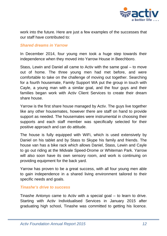

work into the future. Here are just a few examples of the successes that our staff have contributed to:

#### <span id="page-14-0"></span>*Shared dreams in Yarrow*

In December 2014, four young men took a huge step towards their independence when they moved into Yarrow House in Beechboro.

Stass, Lewin and Daniel all came to Activ with the same goal – to move out of home. The three young men had met before, and were comfortable to take on the challenge of moving out together. Searching for a fourth housemate, Family Support WA put the group in touch with Cayle, a young man with a similar goal, and the four guys and their families began work with Activ Client Services to create their dream share house.

Yarrow is the first share house managed by Activ. The guys live together like any other housemates, however there are staff on hand to provide support as needed. The housemates were instrumental in choosing their supports and each staff member was specifically selected for their positive approach and can do attitude.

The house is fully equipped with WiFi, which is used extensively by Daniel on his tablet and by Stass to Skype his family and friends. The house van has a bike rack which allows Daniel, Stass, Lewin and Cayle to go out riding at the Midvale Speed-Drome or Whiteman Park. Yarrow will also soon have its own sensory room, and work is continuing on providing equipment for the back yard.

Yarrow has proven to be a great success, with all four young men able to gain independence in a shared living environment tailored to their specific needs and goals.

#### <span id="page-14-1"></span>*Tinashe's drive to success*

Tinashe Antonyo came to Activ with a special goal – to learn to drive. Starting with Activ Individualised Services in January 2015 after graduating high school, Tinashe was committed to getting his licence.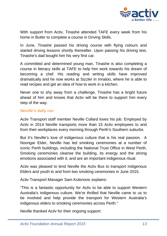

With support from Activ, Tinashe attended TAFE every week from his home in Butler to complete a course in Driving Skills.

In June, Tinashe passed his driving course with flying colours and started driving lessons shortly thereafter. Upon passing his driving test, Tinashe's dad bought him his very first car.

A committed and determined young man, Tinashe is also completing a course in literacy skills at TAFE to help him work towards his dream of becoming a chef. His reading and writing skills have improved dramatically and he now works at Sizzler in Innaloo, where he is able to read recipes and get an idea of how to work in a kitchen.

Never one to shy away from a challenge, Tinashe has a bright future ahead of him and knows that Activ will be there to support him every step of the way.

### <span id="page-15-0"></span>*Neville's daily run*

Activ Transport staff member Neville Collard loves his job. Employed by Activ in 2014 Neville transports more than 15 Activ employees to and from their workplaces every morning through Perth's Southern suburbs.

But it's Neville's love of indigenous culture that is his real passion. A Noongar Elder, Neville has led smoking ceremonies at a number of iconic Perth buildings, including the National Trust Office in West Perth. Smoking ceremonies cleanse the building, its energy and the strong emotions associated with it, and are an important indigenous ritual.

Activ was pleased to lend Neville the Activ Bus to transport Indigenous Elders and youth to and from two smoking ceremonies in June 2015.

Activ Transport Manager Sam Kulenovic explains:

"This is a fantastic opportunity for Activ to be able to support Western Australia's indigenous culture. We're thrilled that Neville came to us to be involved and help provide the transport for Western Australia's indigenous elders to smoking ceremonies across Perth."

Neville thanked Activ for their ongoing support: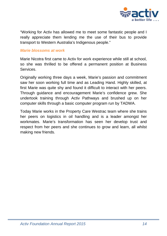

"Working for Activ has allowed me to meet some fantastic people and I really appreciate them lending me the use of their bus to provide transport to Western Australia's Indigenous people."

#### <span id="page-16-0"></span>*Marie blossoms at work*

Marie Nicotra first came to Activ for work experience while still at school, so she was thrilled to be offered a permanent position at Business Services.

Originally working three days a week, Marie's passion and commitment saw her soon working full time and as Leading Hand. Highly skilled, at first Marie was quite shy and found it difficult to interact with her peers. Through guidance and encouragement Marie's confidence grew. She undertook training through Activ Pathways and brushed up on her computer skills through a basic computer program run by TADWA.

Today Marie works in the Property Care Westrac team where she trains her peers on logistics in oil handling and is a leader amongst her workmates. Marie's transformation has seen her develop trust and respect from her peers and she continues to grow and learn, all whilst making new friends.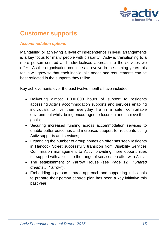

### <span id="page-17-0"></span>**Customer supports**

### <span id="page-17-1"></span>*Accommodation options*

Maintaining or achieving a level of independence in living arrangements is a key focus for many people with disability. Activ is transitioning to a more person centred and individualised approach to the services we offer. As the organisation continues to evolve in the coming years this focus will grow so that each individual's needs and requirements can be best reflected in the supports they utilise.

Key achievements over the past twelve months have included:

- Delivering almost 1,000,000 hours of support to residents accessing Activ's accommodation supports and services enabling individuals to live their everyday life in a safe, comfortable environment whilst being encouraged to focus on and achieve their goals;
- Securing increased funding across accommodation services to enable better outcomes and increased support for residents using Activ supports and services;
- Expanding the number of group homes on offer has seen residents in Hancock Street successfully transition from Disability Services Commission management to Activ, providing more opportunities for support with access to the range of services on offer with Activ;
- The establishment of Yarrow House (see Page 12 *"Shared dreams in Yarrow"*);
- Embedding a person centred approach and supporting individuals to prepare their person centred plan has been a key initiative this past year.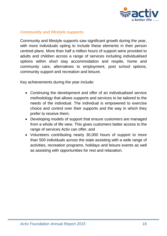

### <span id="page-18-0"></span>*Community and lifestyle supports*

Community and lifestyle supports saw significant growth during the year, with more individuals opting to include these elements in their person centred plans. More than half a million hours of support were provided to adults and children across a range of services including individualised options within short stay accommodation and respite, home and community care, alternatives to employment, post school options, community support and recreation and leisure.

Key achievements during the year include:

- Continuing the development and offer of an individualised service methodology that allows supports and services to be tailored to the needs of the individual. The individual is empowered to exercise choice and control over their supports and the way in which they prefer to receive them;
- Developing models of support that ensure customers are managed from a whole of life view. This gives customers better access to the range of services Activ can offer; and
- Volunteers contributing nearly 30,000 hours of support to more than 500 individuals across the state assisting with a wide range of activities, recreation programs, holidays and leisure events as well as assisting with opportunities for rest and relaxation.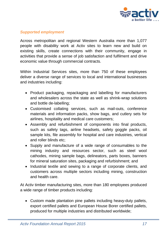

### <span id="page-19-0"></span>*Supported employment*

Across metropolitan and regional Western Australia more than 1,077 people with disability work at Activ sites to learn new and build on existing skills, create connections with their community, engage in activities that provide a sense of job satisfaction and fulfilment and drive economic value through commercial contracts.

Within Industrial Services sites, more than 750 of these employees deliver a diverse range of services to local and international businesses and industries including:

- Product packaging, repackaging and labelling for manufacturers and wholesalers across the state as well as shrink-wrap solutions and bottle de-labelling;
- Customised collating services, such as mail-outs, conference materials and information packs, show bags, and cutlery sets for airlines, hospitality and medical care customers;
- Assembly and refurbishment of components into final products, such as safety tags, airline headsets, safety goggle packs, oil sample kits, file assembly for hospital and care industries, vertical and roller blinds etc;
- Supply and manufacture of a wide range of consumables to the mining industry and resources sector, such as steel wool cathodes, mining sample bags, delineators, parts boxes, banners for mineral saturation sites, packaging and refurbishment; and
- Industrial textile and sewing to a range of corporate clients, and customers across multiple sectors including mining, construction and health care.

At Activ timber manufacturing sites, more than 180 employees produced a wide range of timber products including:

• Custom made plantation pine pallets including heavy-duty pallets, export certified pallets and European House Borer certified pallets, produced for multiple industries and distributed worldwide;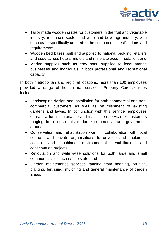

- Tailor made wooden crates for customers in the fruit and vegetable industry, resources sector and wine and beverage industry, with each crate specifically created to the customers' specifications and requirements;
- Wooden bed bases built and supplied to national bedding retailers and used across hotels, motels and mine site accommodation; and
- Marine supplies such as cray pots, supplied to local marine businesses and individuals in both professional and recreational capacity.

In both metropolitan and regional locations, more than 100 employees provided a range of horticultural services. Property Care services include:

- Landscaping design and installation for both commercial and noncommercial customers as well as refurbishment of existing gardens and lawns. In conjunction with this service, employees operate a turf maintenance and installation service for customers ranging from individuals to large commercial and government grounds;
- Conservation and rehabilitation work in collaboration with local councils and private organisations to develop and implement coastal and bushland environmental rehabilitation and conservation projects;
- Reticulation and water-wise solutions for both large and small commercial sites across the state; and
- Garden maintenance services ranging from hedging, pruning, planting, fertilising, mulching and general maintenance of garden areas.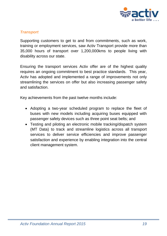

### <span id="page-21-0"></span>*Transport*

Supporting customers to get to and from commitments, such as work, training or employment services, saw Activ Transport provide more than 35,000 hours of transport over 1,200,000kms to people living with disability across our state.

Ensuring the transport services Activ offer are of the highest quality requires an ongoing commitment to best practice standards. This year, Activ has adopted and implemented a range of improvements not only streamlining the services on offer but also increasing passenger safety and satisfaction.

Key achievements from the past twelve months include:

- Adopting a two-year scheduled program to replace the fleet of buses with new models including acquiring buses equipped with passenger safety devices such as three point seat belts; and
- Testing and piloting an electronic mobile tracking/dispatch system (MT Data) to track and streamline logistics across all transport services to deliver service efficiencies and improve passenger satisfaction and experience by enabling integration into the central client management system.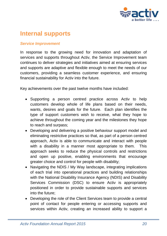

### <span id="page-22-0"></span>**Internal supports**

#### <span id="page-22-1"></span>*Service Improvement*

In response to the growing need for innovation and adaptation of services and supports throughout Activ, the Service Improvement team continues to deliver strategies and initiatives aimed at ensuring services and supports are adaptive and flexible enough to meet the needs of our customers, providing a seamless customer experience, and ensuring financial sustainability for Activ into the future.

Key achievements over the past twelve months have included:

- Supporting a person centred practice across Activ to help customers develop whole of life plans based on their needs, wants, desires and goals for the future. Each plan identifies the type of support customers wish to receive, what they hope to achieve throughout the coming year and the milestones they hope to reach and surpass;
- Developing and delivering a positive behaviour support model and eliminating restrictive practices so that, as part of a person centred approach, Activ is able to communicate and interact with people with a disability in a manner most appropriate to them. This approach seeks to reduce the physical controls and restrictions and open up positive, enabling environments that encourage greater choice and control for people with disability;
- Navigating the NDIS / My Way landscape, integrating implications of each trial into operational practices and building relationships with the National Disability Insurance Agency (NDIS) and Disability Services Commission (DSC) to ensure Activ is appropriately positioned in order to provide sustainable supports and services into the future;
- Developing the role of the Client Services team to provide a central point of contact for people entering or accessing supports and services within Activ, creating an increased ability to support a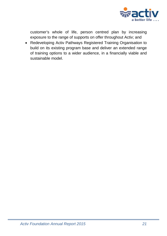

customer's whole of life, person centred plan by increasing exposure to the range of supports on offer throughout Activ; and

• Redeveloping Activ Pathways Registered Training Organisation to build on its existing program base and deliver an extended range of training options to a wider audience, in a financially viable and sustainable model.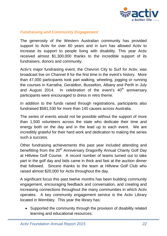

### <span id="page-24-0"></span>*Fundraising and Community Engagement*

The generosity of the Western Australian community has provided support to Activ for over 60 years and in turn has allowed Activ to increase its support to people living with disability. This year Activ received almost \$1,300,000 thanks to the incredible support of its fundraisers, donors and community.

Activ's major fundraising event, the Chevron City to Surf for Activ, was broadcast live on Channel 9 for the first time in the event's history. More than 47,000 participants took part walking, wheeling, jogging or running the courses in Karratha, Geraldton, Busselton, Albany and Perth in July and August 2014. In celebration of the event's  $40<sup>th</sup>$  anniversary participants were encouraged to dress in retro theme.

In addition to the funds raised through registrations, participants also fundraised \$581,530 for more than 140 causes across Australia.

The series of events would not be possible without the support of more than 1,500 volunteers across the state who dedicate their time and energy both on the day and in the lead up to each event. We are incredibly grateful for their hard work and dedication to making the series such a success.

Other fundraising achievements this past year included attending and benefitting from the 20<sup>th</sup> Anniversary Dragonfly Annual Charity Golf Day at Hillview Golf Course. A record number of teams turned out to take part in the golf day and bids came in thick and fast at the auction dinner that followed. Sincere thanks to the team at Hillview Golf Club who raised almost \$20,000 for Activ throughout the day.

A significant focus this past twelve months has been building community engagement, encouraging feedback and conversation, and creating and increasing connections throughout the many communities in which Activ operates. A key community engagement service is the Activ Library located in Wembley. This year the library has:

• Supported the community through the provision of disability related learning and educational resources;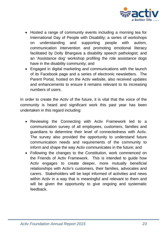

- Hosted a range of community events including a morning tea for International Day of People with Disability; a series of workshops on understanding and supporting people with autism, communication intervention and promoting emotional literacy facilitated by Dolly Bhargava a disability speech pathologist; and an 'Assistance dog' workshop profiling the role assistance dogs have in the disability community; and
- Engaged in digital marketing and communications with the launch of its Facebook page and a series of electronic newsletters. The Parent Portal, hosted on the Activ website, also received updates and enhancements to ensure it remains relevant to its increasing numbers of users.

In order to create the Activ of the future, it is vital that the voice of the community is heard and significant work this past year has been undertaken in this regard including:

- Reviewing the Connecting with Activ Framework led to a communication survey of all employees, customers, families and guardians to determine their level of connectedness with Activ. The survey also provided the opportunity to understand future communication needs and requirements of the community to inform and shape the way Activ communicates in the future; and
- Following the changes to the Constitution, work commenced on the Friends of Activ Framework. This is intended to guide how Activ engages to create deeper, more mutually beneficial relationships with Activ's customers, their families, advocates and carers. Stakeholders will be kept informed of activities and news within Activ in a way that is meaningful and relevant to them and will be given the opportunity to give ongoing and systematic feedback.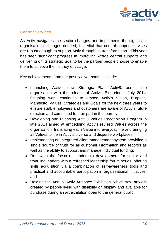

### <span id="page-26-0"></span>*Central Services*

As Activ navigates the sector changes and implements the significant organisational changes needed, it is vital that central support services are robust enough to support Activ through its transformation. This year has seen significant progress in improving Activ's central supports and delivering on its strategic goal to be the partner people choose to enable them to achieve the life they envisage.

Key achievements from the past twelve months include:

- Launching Activ's new Strategic Plan, Activ8, across the organisation with the release of Activ's Blueprint in July 2014. Ongoing work continues to embed Activ's Vision, Purpose, Manifesto, Values, Strategies and Goals for the next three years to ensure staff, employees and customers are aware of Activ's future direction and committed to their part in the journey;
- Developing and releasing Activ8 Values Recognition Program in late 2014 aimed at embedding Activ's revised Values across the organisation, translating each Value into everyday life and bringing all Values to life in Activ's diverse and disperse workplaces;
- Implementing an integrated client management system providing a single source of truth for all customer information and records as well as the ability to support and manage individual funding;
- Renewing the focus on leadership development for senior and front line leaders with a refreshed leadership forum series, offering skills acquisition via a combination of self-awareness tools and practical and accountable participation in organisational initiatives; and
- Holding the Annual Activ Artspace Exhibition, which saw artwork created by people living with disability on display and available for purchase during an art exhibition open to the general public.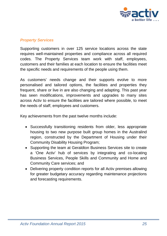

### <span id="page-27-0"></span>*Property Services*

Supporting customers in over 125 service locations across the state requires well-maintained properties and compliance across all required codes. The Property Services team work with staff, employees, customers and their families at each location to ensure the facilities meet the specific needs and requirements of the people using them.

As customers' needs change and their supports evolve to more personalised and tailored options, the facilities and properties they frequent, share or live in are also changing and adapting. This past year has seen modifications, improvements and upgrades to many sites across Activ to ensure the facilities are tailored where possible, to meet the needs of staff, employees and customers.

Key achievements from the past twelve months include:

- Successfully transitioning residents from older, less appropriate housing to two new purpose built group homes in the Australind region, constructed by the Department of Housing under their Community Disability Housing Program;
- Supporting the team at Geraldton Business Services site to create a 'One Activ' hub of services by integrating and co-locating Business Services, People Skills and Community and Home and Community Care services; and
- Delivering property condition reports for all Activ premises allowing for greater budgetary accuracy regarding maintenance projections and forecasting requirements.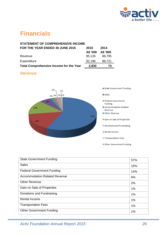

### <span id="page-28-0"></span>**Financials**

| <b>STATEMENT OF COMPREHENSIVE INCOME</b>       |          |          |
|------------------------------------------------|----------|----------|
| FOR THE YEAR ENDED 30 JUNE 2015                | 2015     | 2014     |
|                                                | A\$ '000 | A\$ '000 |
| Revenue                                        | 95,126   | 88,795   |
| Expenditure                                    | 92,196   | 88,721   |
| <b>Total Comprehensive Income for the Year</b> | 2,930    | 74       |
|                                                |          |          |

### <span id="page-28-1"></span>*Revenue*



| <b>State Government Funding</b>      | 57% |
|--------------------------------------|-----|
| <b>Sales</b>                         | 16% |
| <b>Federal Government Funding</b>    | 14% |
| <b>Accommodation Related Revenue</b> | 6%  |
| <b>Other Revenue</b>                 | 2%  |
| Gain on Sale of Properties           | 1%  |
| Donations and Fundraising            | 1%  |
| <b>Rental Income</b>                 | 1%  |
| <b>Transportation Fees</b>           | 1%  |
| <b>Other Government Funding</b>      | 1%  |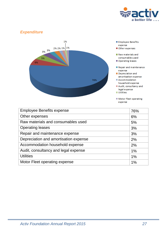

### <span id="page-29-0"></span>*Expenditure*



- Employee Benefits expense
- Other expenses
- Raw materials and consumables used
- Operating leases
- Repair and maintenance expense
- Depreciation and amortisation expense
- Accommodation household expense
- Audit, consultancy and
- legal expense  $\n **U**tilities\n$
- 
- Motor Fleet operating expense

| <b>Employee Benefits expense</b>      | 76%   |
|---------------------------------------|-------|
| Other expenses                        | 6%    |
| Raw materials and consumables used    | 5%    |
| <b>Operating leases</b>               | 3%    |
| Repair and maintenance expense        | 3%    |
| Depreciation and amortisation expense | 2%    |
| Accommodation household expense       | 2%    |
| Audit, consultancy and legal expense  | 1%    |
| <b>Utilities</b>                      | $1\%$ |
| Motor Fleet operating expense         | 1%    |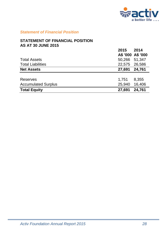

### <span id="page-30-0"></span>*Statement of Financial Position*

#### **STATEMENT OF FINANCIAL POSITION AS AT 30 JUNE 2015**

|                            | 2015          | 2014              |
|----------------------------|---------------|-------------------|
|                            |               | A\$ '000 A\$ '000 |
| <b>Total Assets</b>        | 50,266 51,347 |                   |
| <b>Total Liabilities</b>   | 22,575        | 26,586            |
| <b>Net Assets</b>          | 27,691 24,761 |                   |
|                            |               |                   |
| Reserves                   | 1,751         | 8,355             |
| <b>Accumulated Surplus</b> | 25,940        | 16,406            |
| <b>Total Equity</b>        | 27,691        | 24,761            |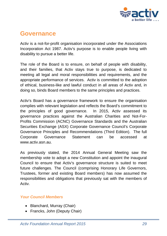

### <span id="page-31-0"></span>**Governance**

Activ is a not-for-profit organisation incorporated under the Associations Incorporation Act 1987. Activ's purpose is to enable people living with disability to pursue a better life.

The role of the Board is to ensure, on behalf of people with disability, and their families, that Activ stays true to purpose, is dedicated to meeting all legal and moral responsibilities and requirements, and the appropriate performance of services. Activ is committed to the adoption of ethical, business-like and lawful conduct in all areas of Activ and, in doing so, binds Board members to the same principles and practices.

Activ's Board has a governance framework to ensure the organisation complies with relevant legislation and reflects the Board's commitment to the principles of good governance. In 2015, Activ assessed its governance practices against the Australian Charities and Not-For-Profits Commission (ACNC) Governance Standards and the Australian Securities Exchange (ASX) Corporate Governance Council's Corporate Governance Principles and Recommendations (Third Edition). The full Corporate Governance Statement can be accessed at [www.activ.asn.au.](http://www.activ.asn.au/)

As previously stated, the 2014 Annual General Meeting saw the membership vote to adopt a new Constitution and appoint the inaugural Council to ensure that Activ's governance structure is suited to meet future challenges. The Council (comprising Honorary Life Governors, Trustees, former and existing Board members) has now assumed the responsibilities and obligations that previously sat with the members of Activ.

### <span id="page-31-1"></span>*Your Council Members*

- Blanchard, Murray (Chair)
- Francks, John (Deputy Chair)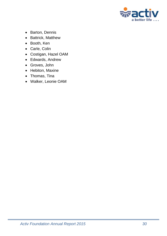

- Barton, Dennis
- Battrick, Matthew
- Booth, Ken
- Carle, Colin
- Costigan, Hazel OAM
- Edwards, Andrew
- Groves, John
- Hebiton, Maxine
- Thomas, Tina
- Walker, Leonie OAM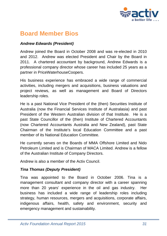

### <span id="page-33-0"></span>**Board Member Bios**

### *Andrew Edwards (President)*

Andrew joined the Board in October 2008 and was re-elected in 2010 and 2012. Andrew was elected President and Chair by the Board in 2011. A chartered accountant by background, Andrew Edwards is a professional company director whose career has included 25 years as a partner in PriceWaterhouseCoopers.

His business experience has embraced a wide range of commercial activities, including mergers and acquisitions, business valuations and project reviews, as well as management and Board of Directors leadership roles.

He is a past National Vice President of the (then) Securities Institute of Australia (now the Financial Services Institute of Australasia) and past President of the Western Australian division of that Institute. He is a past State Councillor of the (then) Institute of Chartered Accountants (now Chartered Accountants Australia and New Zealand), past State Chairman of the Institute's local Education Committee and a past member of its National Education Committee.

He currently serves on the Boards of MMA Offshore Limited and Nido Petroleum Limited and is Chairman of MACA Limited. Andrew is a fellow of the Australian Institute of Company Directors.

Andrew is also a member of the Activ Council.

### *Tina Thomas (Deputy President)*

Tina was appointed to the Board in October 2006. Tina is a management consultant and company director with a career spanning more than 20 years' experience in the oil and gas industry. Her business has included a wide range of leadership roles including strategy, human resources, mergers and acquisitions, corporate affairs, indigenous affairs, health, safety and environment, security and emergency management and sustainability.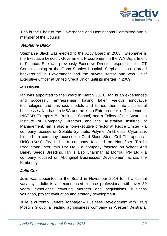

Tina is the Chair of the Governance and Nominations Committee and a member of the Council.

### *Stephanie Black*

Stephanie Black was elected to the Activ Board in 2008. Stephanie is the Executive Director, Government Procurement in the WA Department of Finance. She was previously Executive Director responsible for ICT Commissioning at the Fiona Stanley Hospital. Stephanie has a broad background in Government and the private sector and was Chief Executive Officer at United Credit Union until its merger in 2009.

#### *Ian Brown*

Ian was appointed to the Board in March 2013. Ian is an experienced and successful entrepreneur, having taken various innovative technologies and business models and turned them into successful businesses. Ian has an MBA and he is an Entrepreneur in Residence at INSEAD (Europe's #1 Business School) and a Fellow of the Australian Institute of Company Directors and the Australian Institute of Management. Ian is also a non-executive director at Recce Limited - a company focused on Soluble Synthetic Polymer Antibiotics, Cytomatrix Limited - a company focused on Cord-Blood Stem Cell Therapeutics, HeiQ (Aust) Pty Ltd - a company focused on Nanofiber Textile Productand InterGrain Pty Ltd - a company focused on Wheat And Barley Seeds Breeding. Ian is also Chairman at Morrgul Pty Ltd - a company focused on Aboriginal Businesses Development across the Kimberley.

### *Julie Cox*

Julie was appointed to the Board in November 2014 to fill a casual vacancy. Julie is an experienced finance professional with over 30 years' experience covering mergers and acquisitions, business valuation, project evaluation and strategy development.

Julie is currently General Manager – Business Development with Craig Mostyn Group, a leading agribusiness company in Western Australia.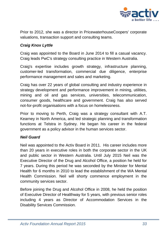

Prior to 2012, she was a director in PricewaterhouseCoopers' corporate valuations, transaction support and consulting teams.

### *Craig Knox Lyttle*

Craig was appointed to the Board in June 2014 to fill a casual vacancy. Craig leads PwC's strategy consulting practice in Western Australia.

Craig's expertise includes growth strategy, infrastructure planning, customer-led transformation, commercial due diligence, enterprise performance management and sales and marketing.

Craig has over 22 years of global consulting and industry experience in strategy development and performance improvement in mining, utilities, mining and oil and gas services, universities, telecommunication, consumer goods, healthcare and government. Craig has also served not-for-profit organisations with a focus on homelessness.

Prior to moving to Perth, Craig was a strategy consultant with A.T. Kearney in North America, and led strategic planning and transformation functions at Telstra in Sydney. He began his career in the federal government as a policy advisor in the human services sector.

### *Neil Guard*

Neil was appointed to the Activ Board in 2011. His career includes more than 20 years in executive roles in both the corporate sector in the UK and public sector in Western Australia. Until July 2015 Neil was the Executive Director of the Drug and Alcohol Office, a position he held for 7 years. During this period he was seconded by the Minister for Mental Health for 6 months in 2010 to lead the establishment of the WA Mental Health Commission. Neil will shorty commence employment in the community services sector.

Before joining the Drug and Alcohol Office in 2008, he held the position of Executive Director of Healthway for 5 years, with previous senior roles including 4 years as Director of Accommodation Services in the Disability Services Commission.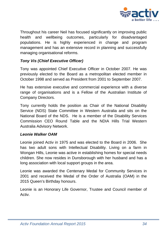

Throughout his career Neil has focused significantly on improving public health and wellbeing outcomes, particularly for disadvantaged populations. He is highly experienced in change and program management and has an extensive record in planning and successfully managing organisational reforms.

### *Tony Vis (Chief Executive Officer)*

Tony was appointed Chief Executive Officer in October 2007. He was previously elected to the Board as a metropolitan elected member in October 1998 and served as President from 2001 to September 2007.

He has extensive executive and commercial experience with a diverse range of organisations and is a Fellow of the Australian Institute of Company Directors.

Tony currently holds the position as Chair of the National Disability Service (NDS) State Committee in Western Australia and sits on the National Board of the NDS. He is a member of the Disability Services Commission CEO Round Table and the NDIA Hills Trial Western Australia Advisory Network.

### *Leonie Walker OAM*

Leonie joined Activ in 1975 and was elected to the Board in 2006. She has two adult sons with Intellectual Disability. Living on a farm in Wongan Hills, Leonie was active in establishing homes for special needs children. She now resides in Dunsborough with her husband and has a long association with local support groups in the area.

Leonie was awarded the Centenary Medal for Community Services in 2001 and received the Medal of the Order of Australia (OAM) in the 2015 Queen's Birthday honours.

Leonie is an Honorary Life Governor, Trustee and Council member of Activ.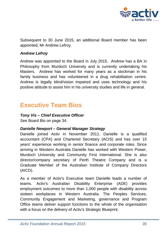

Subsequent to 30 June 2015, an additional Board member has been appointed, Mr Andrew Lefroy.

### *Andrew Lefroy*

Andrew was appointed to the Board in July 2015. Andrew has a BA in Philosophy from Murdoch University and is currently undertaking his Masters. Andrew has worked for many years as a stockman in his family business and has volunteered in a drug rehabilitation centre. Andrew is legally blind/vision impaired and uses technology and his positive attitude to assist him in his university studies and life in general.

### <span id="page-37-0"></span>**Executive Team Bios**

### *Tony Vis – Chief Executive Officer*

See Board Bio on page 34.

### *Danielle Newport – General Manager Strategy*

Danielle joined Activ in November 2011. Danielle is a qualified accountant (CPA) and Chartered Secretary (ACIS) and has over 15 years' experience working in senior finance and corporate roles. Since arriving in Western Australia Danielle has worked with Western Power, Murdoch University and Community First International. She is also director/company secretary of Perth Theatre Company and is a Graduate Member of the Australian Institute of Company Directors (AICD).

As a member of Activ's Executive team Danielle leads a number of teams. Activ's Australian Disability Enterprise (ADE) provides employment outcomes to more than 1,000 people with disability across sixteen workplaces in Western Australia. The Peoples Services, Community Engagement and Marketing, governance and Program Office teams deliver support functions to the whole of the organisation with a focus on the delivery of Activ's Strategic Blueprint.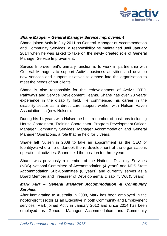

### *Shane Mauger – General Manager Service Improvement*

Shane joined Activ in July 2011 as General Manager of Accommodation and Community Services, a responsibility he maintained until January 2014 when he was asked to take on the newly created role of General Manager Service Improvement.

Service Improvement's primary function is to work in partnership with General Managers to support Activ's business activities and develop new services and support initiatives to embed into the organisation to meet the needs of our clients.

Shane is also responsible for the redevelopment of Activ's RTO, Pathways and Service Development Teams. Shane has over 20 years' experience in the disability field. He commenced his career in the disability sector as a direct care support worker with Nulsen Haven Association Inc (now Nulsen).

During his 14 years with Nulsen he held a number of positions including House Coordinator, Training Coordinator, Program Development Officer, Manager Community Services, Manager Accommodation and General Manager Operations, a role that he held for 5 years.

Shane left Nulsen in 2008 to take an appointment as the CEO of Identitywa where he undertook the re-development of the organisations operational activities. Shane held the position for three years.

Shane was previously a member of the National Disability Services (NDS) National Committee of Accommodation (4 years) and NDS State Accommodation Sub-Committee (6 years) and currently serves as a Board Member and Treasurer of Developmental Disability WA (5 years).

### *Mark Furr – General Manager Accommodation & Community Services*

After immigrating to Australia in 2008, Mark has been employed in the not-for-profit sector as an Executive in both Community and Employment services. Mark joined Activ in January 2012 and since 2014 has been employed as General Manager Accommodation and Community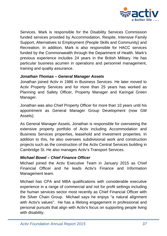

Services. Mark is responsible for the Disability Services Commission funded services provided by Accommodation, Respite, Intensive Family Support, Alternatives to Employment (People Skills and Community) and Recreation. In addition, Mark is also responsible for HACC services funded by the Commonwealth through the Department of Health. Mark's previous experience includes 24 years in the British Military. He has particular business acumen in operations and personnel management, training and quality assurance.

### *Jonathan Thomas – General Manager Assets*

Jonathan joined Activ in 1986 in Business Services. He later moved to Activ Property Services and for more than 25 years has worked as Planning and Safety Officer, Property Manager and Karingal Green Manager.

Jonathan was also Chief Property Officer for more than 10 years until his appointment as General Manager Group Development (now GM Assets).

As General Manager Assets, Jonathan is responsible for overseeing the extensive property portfolio of Activ including Accommodation and Business Services properties, leasehold and investment properties. In addition to this, he also oversees subdivisional work and construction projects such as the construction of the Activ Central Services building in Cambridge St. He also manages Activ's Transport Services.

### *Michael Bowd – Chief Finance Officer*

Michael joined the Activ Executive Team in January 2015 as Chief Financial Officer and he leads Activ's Finance and Information Management team.

Michael has CPA and MBA qualifications with considerable executive experience in a range of commercial and not for profit settings including the human services sector most recently as Chief Financial Officer with the Silver Chain Group. Michael says he enjoys "a natural alignment with Activ's values". He has a lifelong engagement in professional and personal pursuits that align with Activ's focus on supporting people living with disability.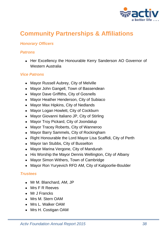

# <span id="page-40-0"></span>**Community Partnerships & Affiliations**

### <span id="page-40-1"></span>*Honorary Officers*

### <span id="page-40-2"></span>*Patrons*

• Her Excellency the Honourable Kerry Sanderson AO Governor of Western Australia

### <span id="page-40-3"></span>*Vice Patrons*

- Mayor Russell Aubrey, City of Melville
- Mayor John Gangell, Town of Bassendean
- Mayor Dave Griffiths, City of Gosnells
- Mayor Heather Henderson, City of Subiaco
- Mayor Max Hipkins, City of Nedlands
- Mayor Logan Howlett, City of Cockburn
- Mayor Giovanni Italiano JP, City of Stirling
- Mayor Troy Pickard, City of Joondalup
- Mayor Tracey Roberts, City of Wanneroo
- Mayor Barry Sammels, City of Rockingham
- Right Honourable the Lord Mayor Lisa Scaffidi, City of Perth
- Mayor Ian Stubbs, City of Busselton
- Mayor Marina Vergone, City of Mandurah
- His Worship the Mayor Dennis Wellington, City of Albany
- Mayor Simon Withers, Town of Cambridge
- Mayor Ron Yuryevich RFD AM, City of Kalgoorlie-Boulder

### <span id="page-40-4"></span>*Trustees*

- Mr M. Blanchard, AM, JP
- Mrs F R Reeves
- Mr J Francks
- Mrs M. Stern OAM
- Mrs L. Walker OAM
- Mrs H. Costigan OAM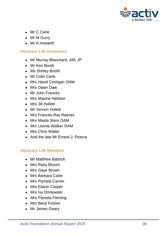

- Mr C Carle
- Mr M Gurry
- Mr A Howarth

### <span id="page-41-0"></span>*Honorary Life Governors*

- Mr Murray Blanchard, AM, JP
- Mr Ken Booth
- Ms Shirley Booth
- Mr Colin Carle
- Mrs Hazel Costigan OAM
- Mrs Dawn Daw
- Mr John Francks
- Mrs Maxine Hebiton
- Mrs Jill Hollett
- Mr Vernon Hollett
- Mrs Frances Ray Reeves
- Mrs Maida Stern OAM
- Mrs Leonie Walker OAM
- Mrs Chris Walter
- And the late Mr Ernest J. Pearce

### <span id="page-41-1"></span>*Honorary Life Members*

- Mr Matthew Battrick
- Mrs Ruby Broom
- Mrs Gaye Brown
- Mrs Barbara Carle
- Mrs Pamela Carrier
- Mrs Elaine Cooper
- Mrs Ivy Drinkwater
- Mrs Pamela Fleming
- Mrs Beryl Forbes
- Mr James Geary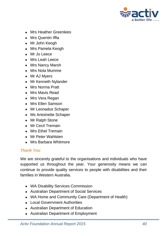

- Mrs Heather Greenlees
- Mrs Quentin Iffla
- Mr John Keogh
- Mrs Pamela Keogh
- Mr Jo Leece
- Mrs Leah Leece
- Mrs Nancy Marsh
- Mrs Nola Mumme
- Mr AJ Myers
- Mr Kenneth Nylander
- Mrs Norma Pratt
- Mrs Mavis Read
- Mrs Vera Regan
- Mrs Ellen Samson
- Mr Leonadus Schaper
- Ms Antoinette Schaper
- Mr Ralph Stone
- Mr Cecil Tremain
- Mrs Ethel Tremain
- Mr Peter Wahlsten
- Mrs Barbara Whitmore

### <span id="page-42-0"></span>*Thank You*

We are sincerely grateful to the organisations and individuals who have supported us throughout the year. Your generosity means we can continue to provide quality services to people with disabilities and their families in Western Australia.

- WA Disability Services Commission
- Australian Department of Social Services
- WA Home and Community Care (Department of Health)
- Local Government Authorities
- Australian Department of Education
- Australian Department of Employment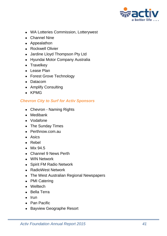

- WA Lotteries Commission, Lotterywest
- Channel Nine
- Appealathon
- Rockwell Olivier
- Jardine Lloyd Thompson Pty Ltd
- Hyundai Motor Company Australia
- Travelkey
- Lease Plan
- Forest Grove Technology
- Datacom
- Amplify Consulting
- KPMG

### <span id="page-43-0"></span>*Chevron City to Surf for Activ Sponsors*

- Chevron Naming Rights
- Medibank
- Vodafone
- The Sunday Times
- Perthnow.com.au
- Asics
- Rebel
- Mix 94.5
- Channel 9 News Perth
- WIN Network
- Spirit FM Radio Network
- RadioWest Network
- The West Australian Regional Newspapers
- PMI Catering
- Welltech
- Bella Terra
- Irun
- Pan Pacific
- Bayview Geographe Resort